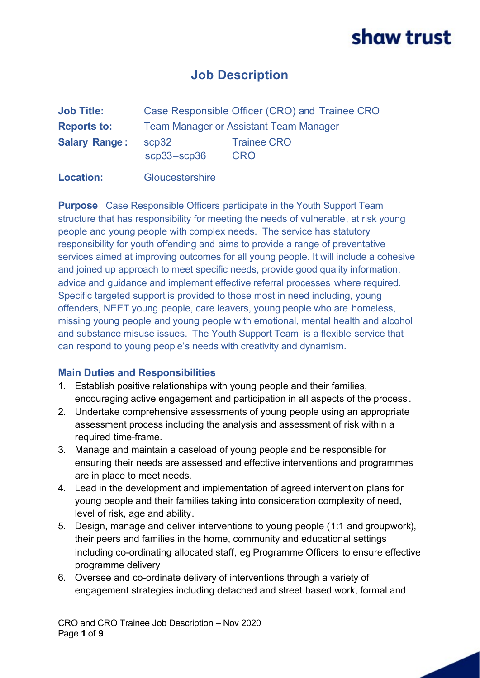## **Job Description**

| <b>Job Title:</b>    | Case Responsible Officer (CRO) and Trainee CRO |                                  |
|----------------------|------------------------------------------------|----------------------------------|
| <b>Reports to:</b>   | <b>Team Manager or Assistant Team Manager</b>  |                                  |
| <b>Salary Range:</b> | scp32<br>$scp33 - scp36$                       | <b>Trainee CRO</b><br><b>CRO</b> |

**Location:** Gloucestershire

**Purpose** Case Responsible Officers participate in the Youth Support Team structure that has responsibility for meeting the needs of vulnerable, at risk young people and young people with complex needs. The service has statutory responsibility for youth offending and aims to provide a range of preventative services aimed at improving outcomes for all young people. It will include a cohesive and joined up approach to meet specific needs, provide good quality information, advice and guidance and implement effective referral processes where required. Specific targeted support is provided to those most in need including, young offenders, NEET young people, care leavers, young people who are homeless, missing young people and young people with emotional, mental health and alcohol and substance misuse issues. The Youth Support Team is a flexible service that can respond to young people's needs with creativity and dynamism.

#### **Main Duties and Responsibilities**

- 1. Establish positive relationships with young people and their families, encouraging active engagement and participation in all aspects of the process.
- 2. Undertake comprehensive assessments of young people using an appropriate assessment process including the analysis and assessment of risk within a required time-frame.
- 3. Manage and maintain a caseload of young people and be responsible for ensuring their needs are assessed and effective interventions and programmes are in place to meet needs.
- 4. Lead in the development and implementation of agreed intervention plans for young people and their families taking into consideration complexity of need, level of risk, age and ability.
- 5. Design, manage and deliver interventions to young people (1:1 and groupwork), their peers and families in the home, community and educational settings including co-ordinating allocated staff, eg Programme Officers to ensure effective programme delivery
- 6. Oversee and co-ordinate delivery of interventions through a variety of engagement strategies including detached and street based work, formal and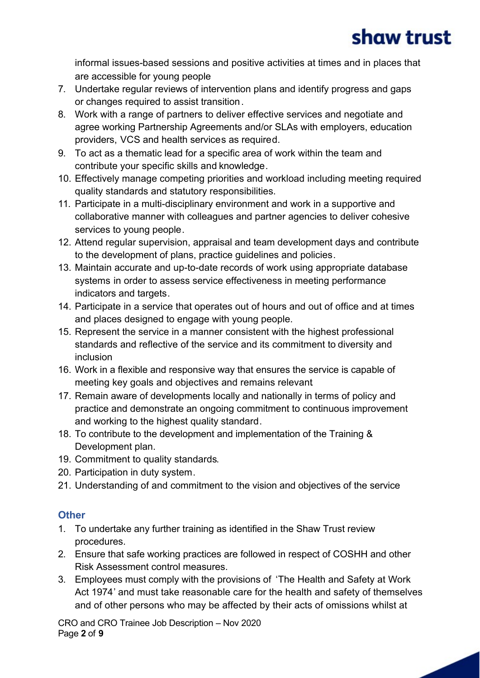informal issues-based sessions and positive activities at times and in places that are accessible for young people

- 7. Undertake regular reviews of intervention plans and identify progress and gaps or changes required to assist transition.
- 8. Work with a range of partners to deliver effective services and negotiate and agree working Partnership Agreements and/or SLAs with employers, education providers, VCS and health services as required.
- 9. To act as a thematic lead for a specific area of work within the team and contribute your specific skills and knowledge.
- 10. Effectively manage competing priorities and workload including meeting required quality standards and statutory responsibilities.
- 11. Participate in a multi-disciplinary environment and work in a supportive and collaborative manner with colleagues and partner agencies to deliver cohesive services to young people.
- 12. Attend regular supervision, appraisal and team development days and contribute to the development of plans, practice guidelines and policies.
- 13. Maintain accurate and up-to-date records of work using appropriate database systems in order to assess service effectiveness in meeting performance indicators and targets.
- 14. Participate in a service that operates out of hours and out of office and at times and places designed to engage with young people.
- 15. Represent the service in a manner consistent with the highest professional standards and reflective of the service and its commitment to diversity and inclusion
- 16. Work in a flexible and responsive way that ensures the service is capable of meeting key goals and objectives and remains relevant.
- 17. Remain aware of developments locally and nationally in terms of policy and practice and demonstrate an ongoing commitment to continuous improvement and working to the highest quality standard.
- 18. To contribute to the development and implementation of the Training & Development plan.
- 19. Commitment to quality standards.
- 20. Participation in duty system.
- 21. Understanding of and commitment to the vision and objectives of the service

### **Other**

- 1. To undertake any further training as identified in the Shaw Trust review procedures.
- 2. Ensure that safe working practices are followed in respect of COSHH and other Risk Assessment control measures.
- 3. Employees must comply with the provisions of 'The Health and Safety at Work Act 1974' and must take reasonable care for the health and safety of themselves and of other persons who may be affected by their acts of omissions whilst at

CRO and CRO Trainee Job Description – Nov 2020 Page **2** of **9**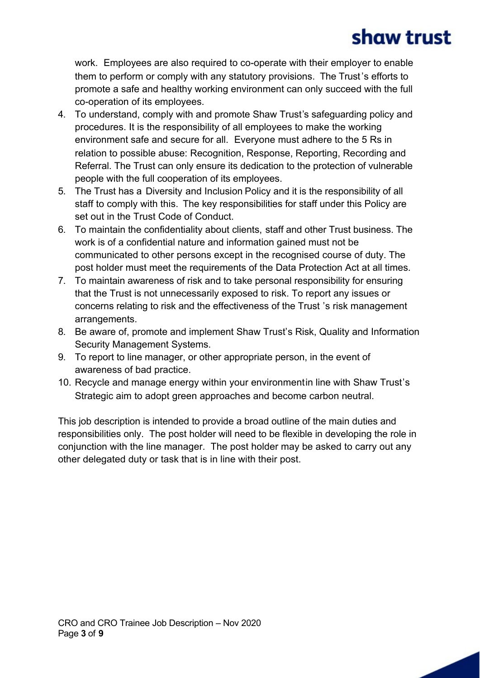work. Employees are also required to co-operate with their employer to enable them to perform or comply with any statutory provisions. The Trust's efforts to promote a safe and healthy working environment can only succeed with the full co-operation of its employees.

- 4. To understand, comply with and promote Shaw Trust's safeguarding policy and procedures. It is the responsibility of all employees to make the working environment safe and secure for all. Everyone must adhere to the 5 Rs in relation to possible abuse: Recognition, Response, Reporting, Recording and Referral. The Trust can only ensure its dedication to the protection of vulnerable people with the full cooperation of its employees.
- 5. The Trust has a Diversity and Inclusion Policy and it is the responsibility of all staff to comply with this. The key responsibilities for staff under this Policy are set out in the Trust Code of Conduct.
- 6. To maintain the confidentiality about clients, staff and other Trust business. The work is of a confidential nature and information gained must not be communicated to other persons except in the recognised course of duty. The post holder must meet the requirements of the Data Protection Act at all times.
- 7. To maintain awareness of risk and to take personal responsibility for ensuring that the Trust is not unnecessarily exposed to risk. To report any issues or concerns relating to risk and the effectiveness of the Trust 's risk management arrangements.
- 8. Be aware of, promote and implement Shaw Trust's Risk, Quality and Information Security Management Systems.
- 9. To report to line manager, or other appropriate person, in the event of awareness of bad practice.
- 10. Recycle and manage energy within your environmentin line with Shaw Trust's Strategic aim to adopt green approaches and become carbon neutral.

This job description is intended to provide a broad outline of the main duties and responsibilities only. The post holder will need to be flexible in developing the role in conjunction with the line manager. The post holder may be asked to carry out any other delegated duty or task that is in line with their post.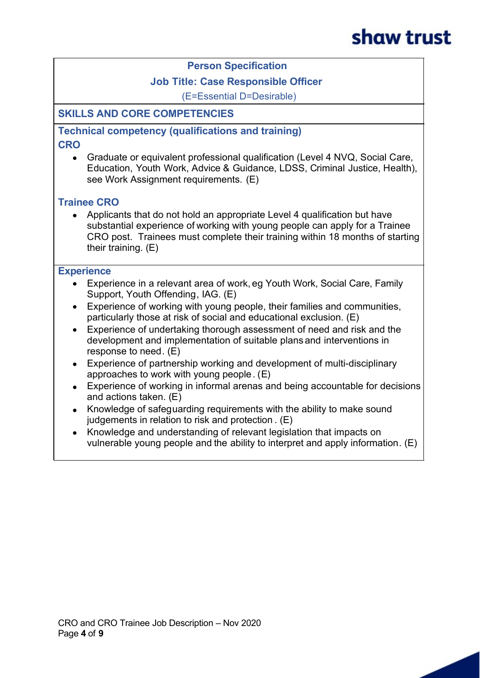#### **Person Specification**

#### **Job Title: Case Responsible Officer**

(E=Essential D=Desirable)

#### **SKILLS AND CORE COMPETENCIES**

**Technical competency (qualifications and training) CRO**

· Graduate or equivalent professional qualification (Level 4 NVQ, Social Care, Education, Youth Work, Advice & Guidance, LDSS, Criminal Justice, Health), see Work Assignment requirements. (E)

#### **Trainee CRO**

· Applicants that do not hold an appropriate Level 4 qualification but have substantial experience of working with young people can apply for a Trainee CRO post. Trainees must complete their training within 18 months of starting their training. (E)

#### **Experience**

- Experience in a relevant area of work, eg Youth Work, Social Care, Family Support, Youth Offending, IAG. (E)
- · Experience of working with young people, their families and communities, particularly those at risk of social and educational exclusion. (E)
- · Experience of undertaking thorough assessment of need and risk and the development and implementation of suitable plans and interventions in response to need. (E)
- Experience of partnership working and development of multi-disciplinary approaches to work with young people. (E)
- · Experience of working in informal arenas and being accountable for decisions and actions taken. (E)
- · Knowledge of safeguarding requirements with the ability to make sound judgements in relation to risk and protection. (E)
- · Knowledge and understanding of relevant legislation that impacts on vulnerable young people and the ability to interpret and apply information. (E)

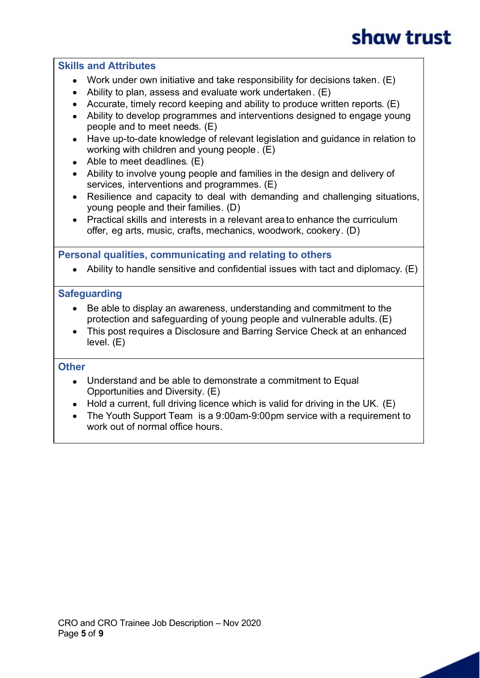#### **Skills and Attributes**

- Work under own initiative and take responsibility for decisions taken. (E)
- Ability to plan, assess and evaluate work undertaken.  $(E)$
- · Accurate, timely record keeping and ability to produce written reports. (E)
- Ability to develop programmes and interventions designed to engage young people and to meet needs. (E)
- · Have up-to-date knowledge of relevant legislation and guidance in relation to working with children and young people. (E)
- Able to meet deadlines. (E)
- · Ability to involve young people and families in the design and delivery of services, interventions and programmes. (E)
- · Resilience and capacity to deal with demanding and challenging situations, young people and their families. (D)
- Practical skills and interests in a relevant area to enhance the curriculum offer, eg arts, music, crafts, mechanics, woodwork, cookery. (D)

**Personal qualities, communicating and relating to others**

• Ability to handle sensitive and confidential issues with tact and diplomacy. (E)

#### **Safeguarding**

- · Be able to display an awareness, understanding and commitment to the protection and safeguarding of young people and vulnerable adults. (E)
- This post requires a Disclosure and Barring Service Check at an enhanced level. (E)

#### **Other**

- Understand and be able to demonstrate a commitment to Equal Opportunities and Diversity. (E)
- $\bullet$  Hold a current, full driving licence which is valid for driving in the UK. (E)
- The Youth Support Team is a 9:00am-9:00pm service with a requirement to work out of normal office hours.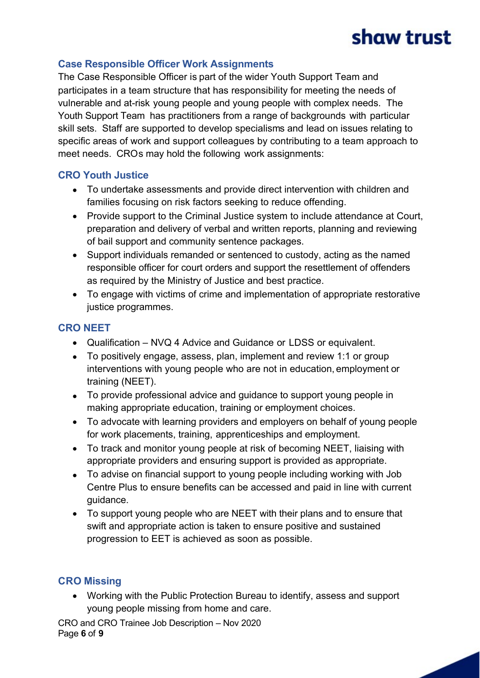### **Case Responsible Officer Work Assignments**

The Case Responsible Officer is part of the wider Youth Support Team and participates in a team structure that has responsibility for meeting the needs of vulnerable and at-risk young people and young people with complex needs. The Youth Support Team has practitioners from a range of backgrounds with particular skill sets. Staff are supported to develop specialisms and lead on issues relating to specific areas of work and support colleagues by contributing to a team approach to meet needs. CROs may hold the following work assignments:

#### **CRO Youth Justice**

- · To undertake assessments and provide direct intervention with children and families focusing on risk factors seeking to reduce offending.
- · Provide support to the Criminal Justice system to include attendance at Court, preparation and delivery of verbal and written reports, planning and reviewing of bail support and community sentence packages.
- · Support individuals remanded or sentenced to custody, acting as the named responsible officer for court orders and support the resettlement of offenders as required by the Ministry of Justice and best practice.
- · To engage with victims of crime and implementation of appropriate restorative justice programmes.

### **CRO NEET**

- · Qualification NVQ 4 Advice and Guidance or LDSS or equivalent.
- · To positively engage, assess, plan, implement and review 1:1 or group interventions with young people who are not in education, employment or training (NEET).
- · To provide professional advice and guidance to support young people in making appropriate education, training or employment choices.
- · To advocate with learning providers and employers on behalf of young people for work placements, training, apprenticeships and employment.
- · To track and monitor young people at risk of becoming NEET, liaising with appropriate providers and ensuring support is provided as appropriate.
- · To advise on financial support to young people including working with Job Centre Plus to ensure benefits can be accessed and paid in line with current guidance.
- · To support young people who are NEET with their plans and to ensure that swift and appropriate action is taken to ensure positive and sustained progression to EET is achieved as soon as possible.

### **CRO Missing**

· Working with the Public Protection Bureau to identify, assess and support young people missing from home and care.

CRO and CRO Trainee Job Description – Nov 2020 Page **6** of **9**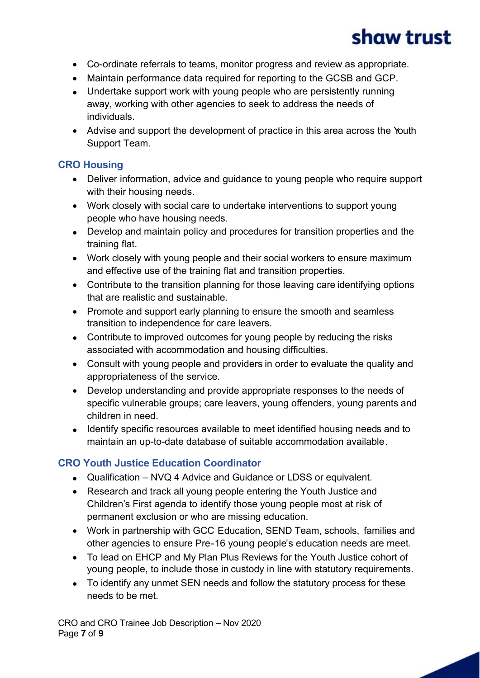- · Co-ordinate referrals to teams, monitor progress and review as appropriate.
- · Maintain performance data required for reporting to the GCSB and GCP.
- Undertake support work with young people who are persistently running away, working with other agencies to seek to address the needs of individuals.
- · Advise and support the development of practice in this area across the Youth Support Team.

### **CRO Housing**

- · Deliver information, advice and guidance to young people who require support with their housing needs.
- · Work closely with social care to undertake interventions to support young people who have housing needs.
- · Develop and maintain policy and procedures for transition properties and the training flat.
- · Work closely with young people and their social workers to ensure maximum and effective use of the training flat and transition properties.
- · Contribute to the transition planning for those leaving care identifying options that are realistic and sustainable.
- Promote and support early planning to ensure the smooth and seamless transition to independence for care leavers.
- Contribute to improved outcomes for young people by reducing the risks associated with accommodation and housing difficulties.
- · Consult with young people and providers in order to evaluate the quality and appropriateness of the service.
- · Develop understanding and provide appropriate responses to the needs of specific vulnerable groups; care leavers, young offenders, young parents and children in need.
- · Identify specific resources available to meet identified housing needs and to maintain an up-to-date database of suitable accommodation available.

### **CRO Youth Justice Education Coordinator**

- · Qualification NVQ 4 Advice and Guidance or LDSS or equivalent.
- · Research and track all young people entering the Youth Justice and Children's First agenda to identify those young people most at risk of permanent exclusion or who are missing education.
- · Work in partnership with GCC Education, SEND Team, schools, families and other agencies to ensure Pre-16 young people's education needs are meet.
- · To lead on EHCP and My Plan Plus Reviews for the Youth Justice cohort of young people, to include those in custody in line with statutory requirements.
- · To identify any unmet SEN needs and follow the statutory process for these needs to be met.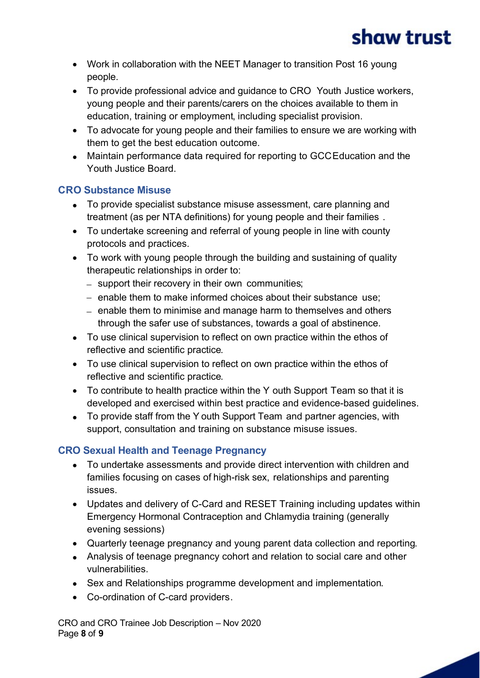- · Work in collaboration with the NEET Manager to transition Post 16 young people.
- · To provide professional advice and guidance to CRO Youth Justice workers, young people and their parents/carers on the choices available to them in education, training or employment, including specialist provision.
- · To advocate for young people and their families to ensure we are working with them to get the best education outcome.
- · Maintain performance data required for reporting to GCC Education and the Youth Justice Board.

### **CRO Substance Misuse**

- · To provide specialist substance misuse assessment, care planning and treatment (as per NTA definitions) for young people and their families .
- · To undertake screening and referral of young people in line with county protocols and practices.
- · To work with young people through the building and sustaining of quality therapeutic relationships in order to:
	- support their recovery in their own communities;
	- enable them to make informed choices about their substance use;
	- enable them to minimise and manage harm to themselves and others through the safer use of substances, towards a goal of abstinence.
- · To use clinical supervision to reflect on own practice within the ethos of reflective and scientific practice.
- · To use clinical supervision to reflect on own practice within the ethos of reflective and scientific practice.
- · To contribute to health practice within the Y outh Support Team so that it is developed and exercised within best practice and evidence-based guidelines.
- · To provide staff from the Y outh Support Team and partner agencies, with support, consultation and training on substance misuse issues.

### **CRO Sexual Health and Teenage Pregnancy**

- · To undertake assessments and provide direct intervention with children and families focusing on cases of high-risk sex, relationships and parenting issues.
- · Updates and delivery of C-Card and RESET Training including updates within Emergency Hormonal Contraception and Chlamydia training (generally evening sessions)
- · Quarterly teenage pregnancy and young parent data collection and reporting.
- · Analysis of teenage pregnancy cohort and relation to social care and other vulnerabilities.
- · Sex and Relationships programme development and implementation.
- · Co-ordination of C-card providers.

CRO and CRO Trainee Job Description – Nov 2020 Page **8** of **9**